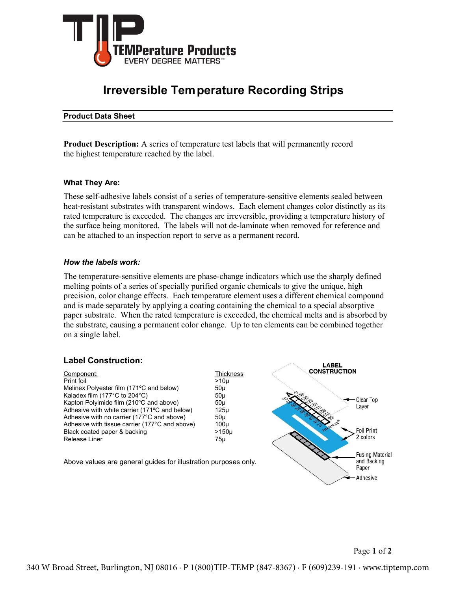

# **Irreversible Temperature Recording Strips**

#### Product Data Sheet

Product Description: A series of temperature test labels that will permanently record the highest temperature reached by the label.

#### What They Are:

These self-adhesive labels consist of a series of temperature-sensitive elements sealed between heat-resistant substrates with transparent windows. Each element changes color distinctly as its rated temperature is exceeded. The changes are irreversible, providing a temperature history of the surface being monitored. The labels will not de-laminate when removed for reference and can be attached to an inspection report to serve as a permanent record.

#### How the labels work:

The temperature-sensitive elements are phase-change indicators which use the sharply defined melting points of a series of specially purified organic chemicals to give the unique, high precision, color change effects. Each temperature element uses a different chemical compound and is made separately by applying a coating containing the chemical to a special absorptive paper substrate. When the rated temperature is exceeded, the chemical melts and is absorbed by the substrate, causing a permanent color change. Up to ten elements can be combined together on a single label.

#### Label Construction:

| Component:                                         | Thickness        | <b>CONSTRUCTION</b>    |
|----------------------------------------------------|------------------|------------------------|
| Print foil                                         | >10 <sub>u</sub> |                        |
| Melinex Polyester film (171°C and below)           | 50 <sub>µ</sub>  |                        |
| Kaladex film $(177^{\circ}$ C to 204 $^{\circ}$ C) | 50 <sub>µ</sub>  |                        |
| Kapton Polyimide film (210°C and above)            | 50 <sub>µ</sub>  | Clear Top              |
| Adhesive with white carrier (171°C and below)      | 125µ             | Layer                  |
| Adhesive with no carrier (177°C and above)         | 50 <sub>µ</sub>  |                        |
| Adhesive with tissue carrier (177°C and above)     | $100\mu$         | <b>RMAX</b>            |
| Black coated paper & backing                       | $>150\mu$        | <b>Foil Print</b>      |
| Release Liner                                      | 75µ              | 2 colors               |
|                                                    |                  |                        |
|                                                    |                  | <b>Fusing Material</b> |

Above values are general guides for illustration purposes only.



and Backing Paper Adhesive

**LABEL**